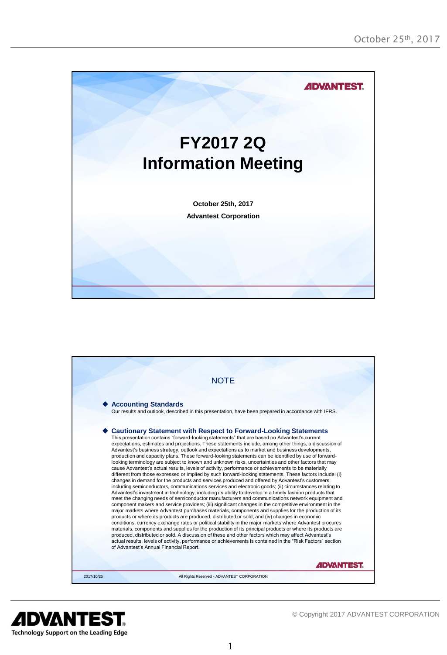



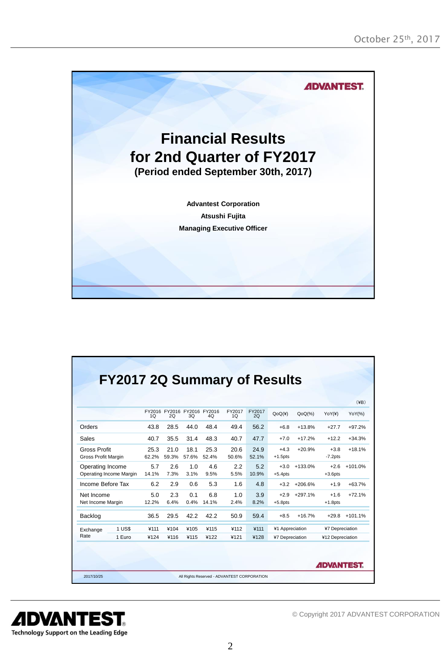

|                                             |        |               |               |                        |                                   |                          |               |                      |           |                      | $(\yen)$  |
|---------------------------------------------|--------|---------------|---------------|------------------------|-----------------------------------|--------------------------|---------------|----------------------|-----------|----------------------|-----------|
|                                             |        | 1Q            | 2O            | 30                     | FY2016 FY2016 FY2016 FY2016<br>40 | FY2017<br>1 <sub>O</sub> | FY2017<br>2O  | QoQ(4)               | $QoQ(\%)$ | YOY(4)               | YoY(%)    |
| Orders                                      |        | 43.8          | 28.5          | 44.0                   | 48.4                              | 49.4                     | 56.2          | $+6.8$               | $+13.8%$  | $+27.7$              | $+97.2%$  |
| Sales                                       |        | 40.7          | 35.5          | 31.4                   | 48.3                              | 40.7                     | 47.7          | $+7.0$               | $+17.2%$  | $+12.2$              | $+34.3%$  |
| <b>Gross Profit</b><br>Gross Profit Margin  |        | 25.3<br>62.2% | 21.0<br>59.3% | 18.1<br>57.6%          | 25.3<br>52.4%                     | 20.6<br>50.6%            | 24.9<br>52.1% | $+4.3$<br>$+1.5$ pts | $+20.9%$  | $+3.8$<br>$-7.2$ pts | $+18.1%$  |
| Operating Income<br>Operating Income Margin |        | 5.7<br>14.1%  | 2.6<br>7.3%   | 1.0<br>3.1%            | 4.6<br>9.5%                       | 2.2<br>5.5%              | 5.2<br>10.9%  | $+3.0$<br>$+5.4$ pts | +133.0%   | $+2.6$<br>$+3.6$ pts | $+101.0%$ |
| Income Before Tax                           |        | 6.2           | 2.9           | 0.6                    | 5.3                               | 1.6                      | 4.8           | $+3.2$               | $+206.6%$ | $+1.9$               | $+63.7%$  |
| Net Income<br>Net Income Margin             |        | 50<br>12.2%   | 2.3<br>6.4%   | 0 <sub>1</sub><br>0.4% | 68<br>14.1%                       | 1 <sub>0</sub><br>2.4%   | 3.9<br>8.2%   | $+2.9$<br>$+5.8$ pts | $+297.1%$ | $+1.6$<br>$+1.8$ pts | $+72.1%$  |
| Backlog                                     |        | 36.5          | 29.5          | 42.2                   | 42.2                              | 50.9                     | 59.4          | $+8.5$               | $+16.7%$  | $+29.8$              | $+101.1%$ |
| Exchange                                    | 1 US\$ | ¥111          | ¥104          | ¥105                   | ¥115                              | ¥112                     | ¥111          | ¥1 Appreciation      |           | ¥7 Depreciation      |           |
| Rate                                        | 1 Euro | ¥124          | ¥116          | ¥115                   | ¥122                              | ¥121                     | ¥128          | ¥7 Depreciation      |           | ¥12 Depreciation     |           |

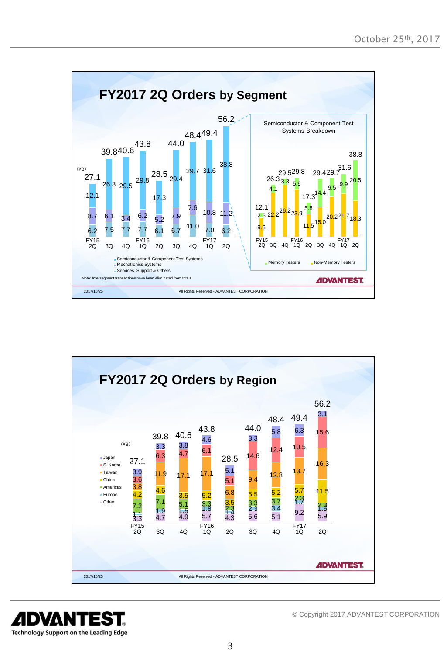



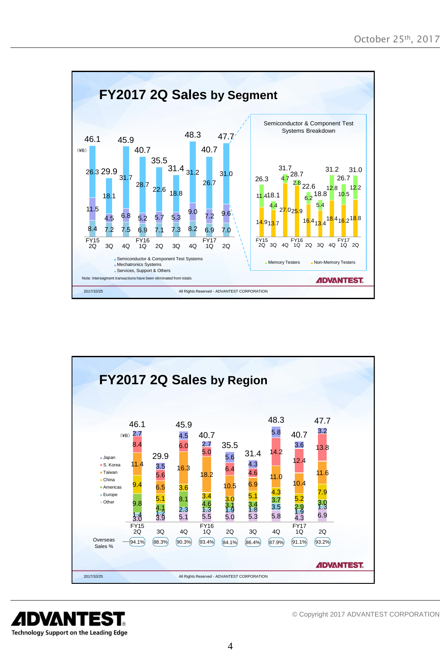



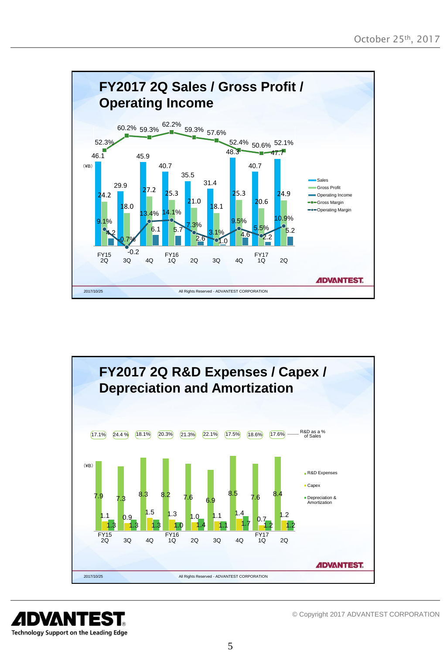



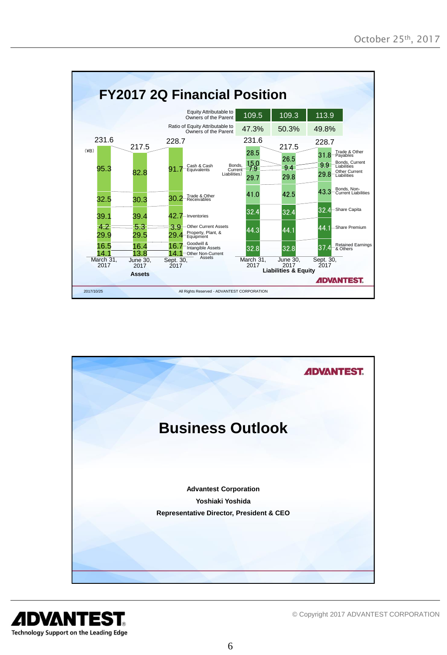



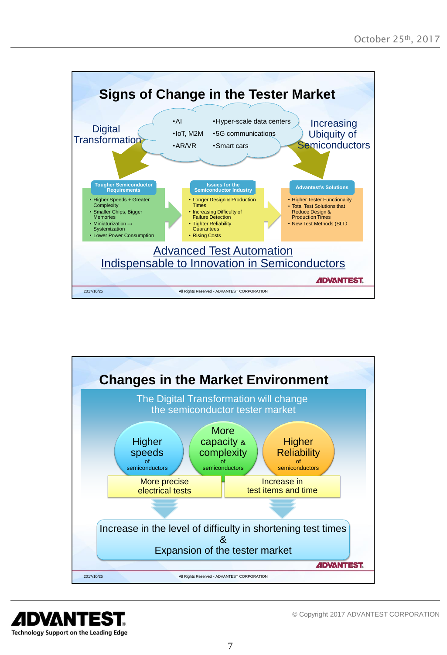



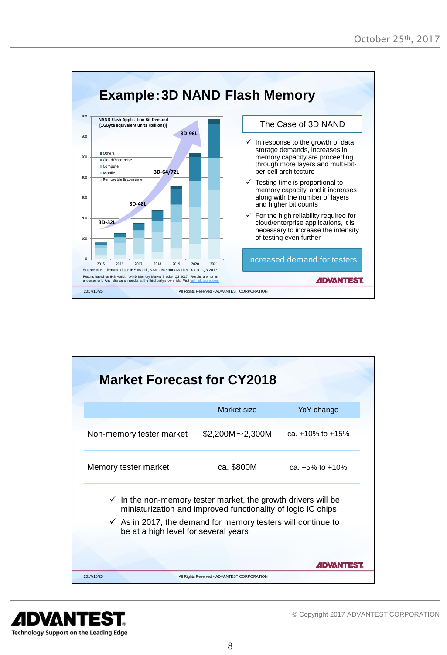

| <b>Market Forecast for CY2018</b>                                                                               |                                                              |                        |  |
|-----------------------------------------------------------------------------------------------------------------|--------------------------------------------------------------|------------------------|--|
|                                                                                                                 | Market size                                                  | YoY change             |  |
| Non-memory tester market                                                                                        | $$2,200M \sim 2,300M$                                        | ca. $+10\%$ to $+15\%$ |  |
| Memory tester market                                                                                            | ca. \$800M                                                   | ca. $+5\%$ to $+10\%$  |  |
| $\checkmark$ In the non-memory tester market, the growth drivers will be                                        | miniaturization and improved functionality of logic IC chips |                        |  |
| $\checkmark$ As in 2017, the demand for memory testers will continue to<br>be at a high level for several years |                                                              |                        |  |
|                                                                                                                 |                                                              | <b>ADVANTEST</b>       |  |
| 2017/10/25                                                                                                      | All Rights Reserved - ADVANTEST CORPORATION                  |                        |  |

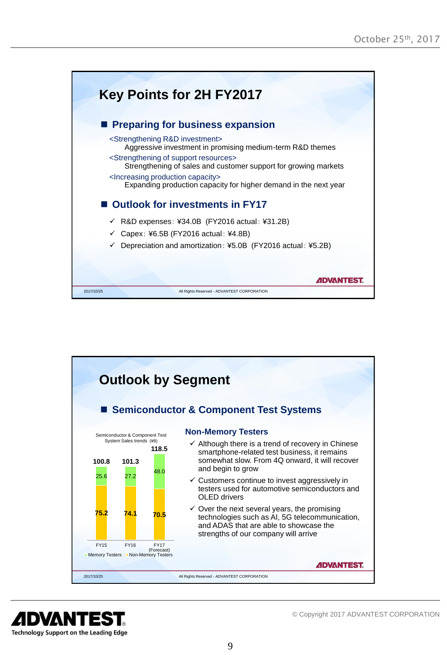



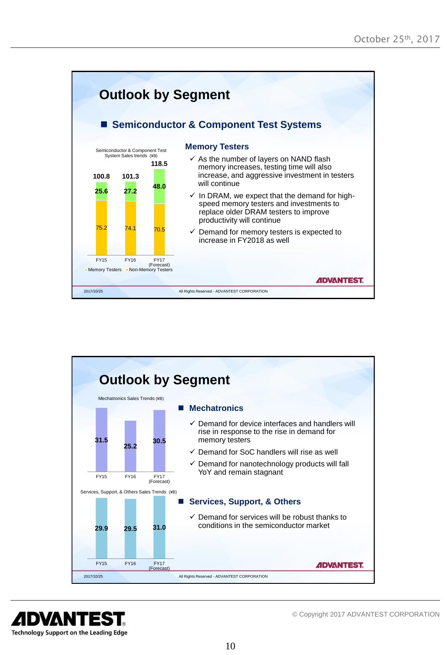